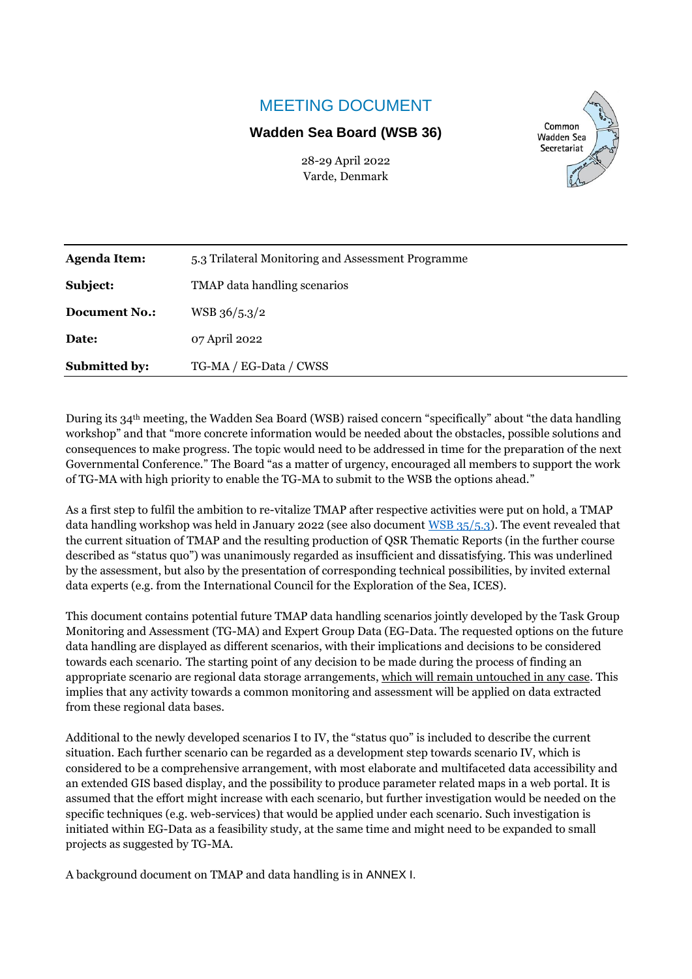# MEETING DOCUMENT

# **Wadden Sea Board (WSB 36)**

28-29 April 2022 Varde, Denmark



| <b>Agenda Item:</b>  | 5.3 Trilateral Monitoring and Assessment Programme |
|----------------------|----------------------------------------------------|
| Subject:             | TMAP data handling scenarios                       |
| <b>Document No.:</b> | $WSB$ 36/5.3/2                                     |
| Date:                | 07 April 2022                                      |
| <b>Submitted by:</b> | TG-MA / EG-Data / CWSS                             |

During its 34th meeting, the Wadden Sea Board (WSB) raised concern "specifically" about "the data handling workshop" and that "more concrete information would be needed about the obstacles, possible solutions and consequences to make progress. The topic would need to be addressed in time for the preparation of the next Governmental Conference." The Board "as a matter of urgency, encouraged all members to support the work of TG-MA with high priority to enable the TG-MA to submit to the WSB the options ahead."

As a first step to fulfil the ambition to re-vitalize TMAP after respective activities were put on hold, a TMAP data handling workshop was held in January 2022 (see also document WSB [35/5.3\)](https://www.waddensea-worldheritage.org/system/files/WSB-35-5-3-TG-MA%20Progress%20Report.pdf). The event revealed that the current situation of TMAP and the resulting production of QSR Thematic Reports (in the further course described as "status quo") was unanimously regarded as insufficient and dissatisfying. This was underlined by the assessment, but also by the presentation of corresponding technical possibilities, by invited external data experts (e.g. from the International Council for the Exploration of the Sea, ICES).

This document contains potential future TMAP data handling scenarios jointly developed by the Task Group Monitoring and Assessment (TG-MA) and Expert Group Data (EG-Data. The requested options on the future data handling are displayed as different scenarios, with their implications and decisions to be considered towards each scenario. The starting point of any decision to be made during the process of finding an appropriate scenario are regional data storage arrangements, which will remain untouched in any case. This implies that any activity towards a common monitoring and assessment will be applied on data extracted from these regional data bases.

Additional to the newly developed scenarios I to IV, the "status quo" is included to describe the current situation. Each further scenario can be regarded as a development step towards scenario IV, which is considered to be a comprehensive arrangement, with most elaborate and multifaceted data accessibility and an extended GIS based display, and the possibility to produce parameter related maps in a web portal. It is assumed that the effort might increase with each scenario, but further investigation would be needed on the specific techniques (e.g. web-services) that would be applied under each scenario. Such investigation is initiated within EG-Data as a feasibility study, at the same time and might need to be expanded to small projects as suggested by TG-MA.

A background document on TMAP and data handling is in ANNEX I.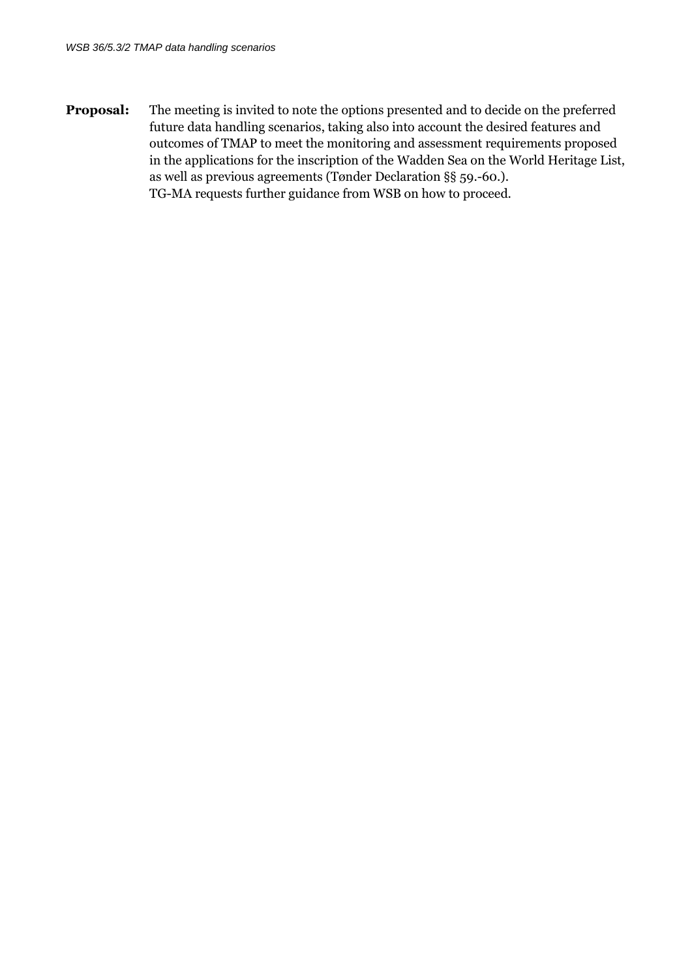**Proposal:** The meeting is invited to note the options presented and to decide on the preferred future data handling scenarios, taking also into account the desired features and outcomes of TMAP to meet the monitoring and assessment requirements proposed in the applications for the inscription of the Wadden Sea on the World Heritage List, as well as previous agreements (Tønder Declaration §§ 59.-60.). TG-MA requests further guidance from WSB on how to proceed.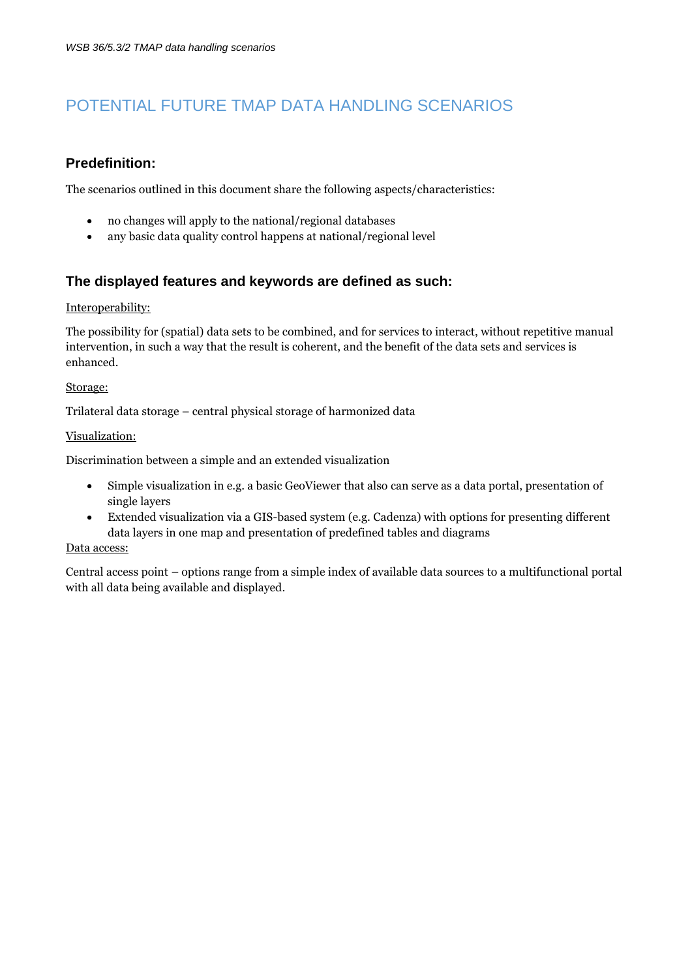# POTENTIAL FUTURE TMAP DATA HANDLING SCENARIOS

# **Predefinition:**

The scenarios outlined in this document share the following aspects/characteristics:

- no changes will apply to the national/regional databases
- any basic data quality control happens at national/regional level

# **The displayed features and keywords are defined as such:**

#### Interoperability:

The possibility for (spatial) data sets to be combined, and for services to interact, without repetitive manual intervention, in such a way that the result is coherent, and the benefit of the data sets and services is enhanced.

#### Storage:

Trilateral data storage – central physical storage of harmonized data

#### Visualization:

Discrimination between a simple and an extended visualization

- Simple visualization in e.g. a basic GeoViewer that also can serve as a data portal, presentation of single layers
- Extended visualization via a GIS-based system (e.g. Cadenza) with options for presenting different data layers in one map and presentation of predefined tables and diagrams

#### Data access:

Central access point – options range from a simple index of available data sources to a multifunctional portal with all data being available and displayed.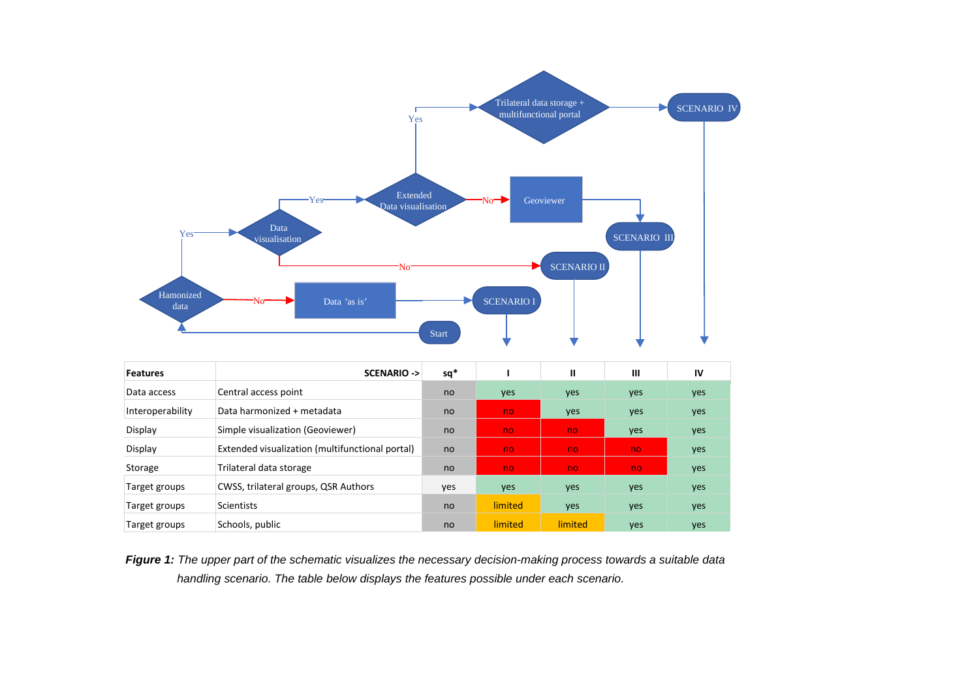

| .                | .                                               | --  | . .     | . .     |     | . . |
|------------------|-------------------------------------------------|-----|---------|---------|-----|-----|
| Data access      | Central access point                            | no  | yes     | yes     | yes | yes |
| Interoperability | Data harmonized + metadata                      | no  | no.     | yes     | yes | yes |
| Display          | Simple visualization (Geoviewer)                | no  | no      | no.     | yes | yes |
| Display          | Extended visualization (multifunctional portal) | no  | no      | no.     | no. | yes |
| Storage          | Trilateral data storage                         | no  | no      | no      | no  | yes |
| Target groups    | CWSS, trilateral groups, QSR Authors            | yes | yes     | yes     | yes | yes |
| Target groups    | <b>Scientists</b>                               | no  | limited | yes     | yes | yes |
| Target groups    | Schools, public                                 | no  | limited | limited | yes | yes |

*Figure 1: The upper part of the schematic visualizes the necessary decision-making process towards a suitable data handling scenario. The table below displays the features possible under each scenario.*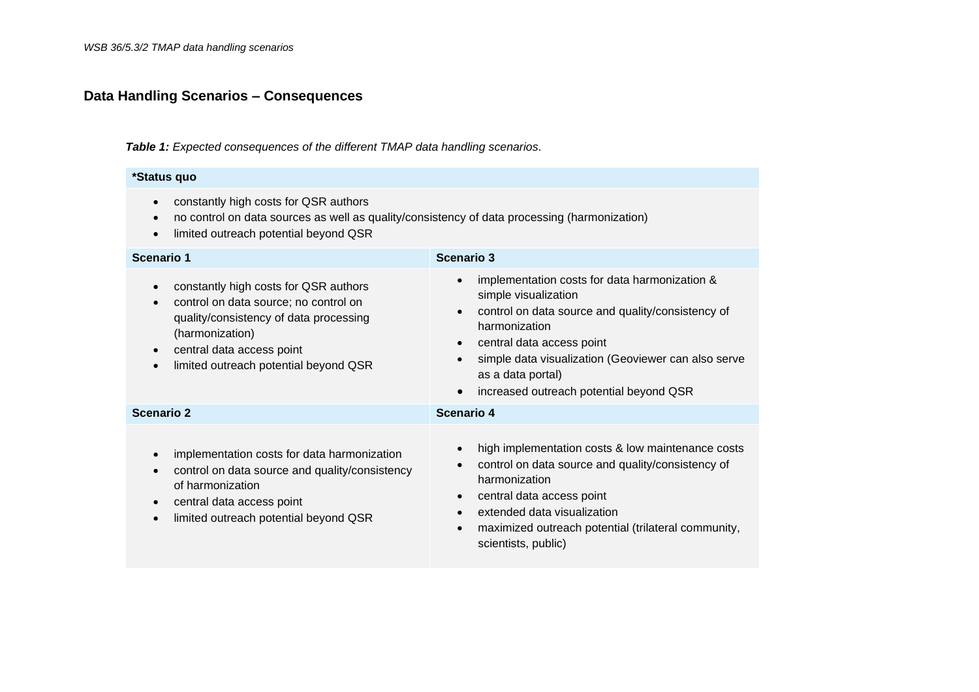# **Data Handling Scenarios – Consequences**

*Table 1: Expected consequences of the different TMAP data handling scenarios.*

#### **\*Status quo**

- constantly high costs for QSR authors
- no control on data sources as well as quality/consistency of data processing (harmonization)
- limited outreach potential beyond QSR

| <b>Scenario 1</b>                                                                                                                                                                                                                                        | Scenario 3                                                                                                                                                                                                                                                                                                                |  |  |  |  |
|----------------------------------------------------------------------------------------------------------------------------------------------------------------------------------------------------------------------------------------------------------|---------------------------------------------------------------------------------------------------------------------------------------------------------------------------------------------------------------------------------------------------------------------------------------------------------------------------|--|--|--|--|
| constantly high costs for QSR authors<br>$\bullet$<br>control on data source; no control on<br>$\bullet$<br>quality/consistency of data processing<br>(harmonization)<br>central data access point<br>$\bullet$<br>limited outreach potential beyond QSR | implementation costs for data harmonization &<br>simple visualization<br>control on data source and quality/consistency of<br>harmonization<br>central data access point<br>$\bullet$<br>simple data visualization (Geoviewer can also serve<br>as a data portal)<br>increased outreach potential beyond QSR<br>$\bullet$ |  |  |  |  |
| <b>Scenario 2</b>                                                                                                                                                                                                                                        | Scenario 4                                                                                                                                                                                                                                                                                                                |  |  |  |  |
| implementation costs for data harmonization<br>$\bullet$<br>control on data source and quality/consistency<br>$\bullet$<br>of harmonization<br>central data access point<br>$\bullet$<br>limited outreach potential beyond QSR                           | high implementation costs & low maintenance costs<br>control on data source and quality/consistency of<br>$\bullet$<br>harmonization<br>central data access point<br>$\bullet$<br>extended data visualization<br>$\bullet$<br>maximized outreach potential (trilateral community,<br>$\bullet$<br>scientists, public)     |  |  |  |  |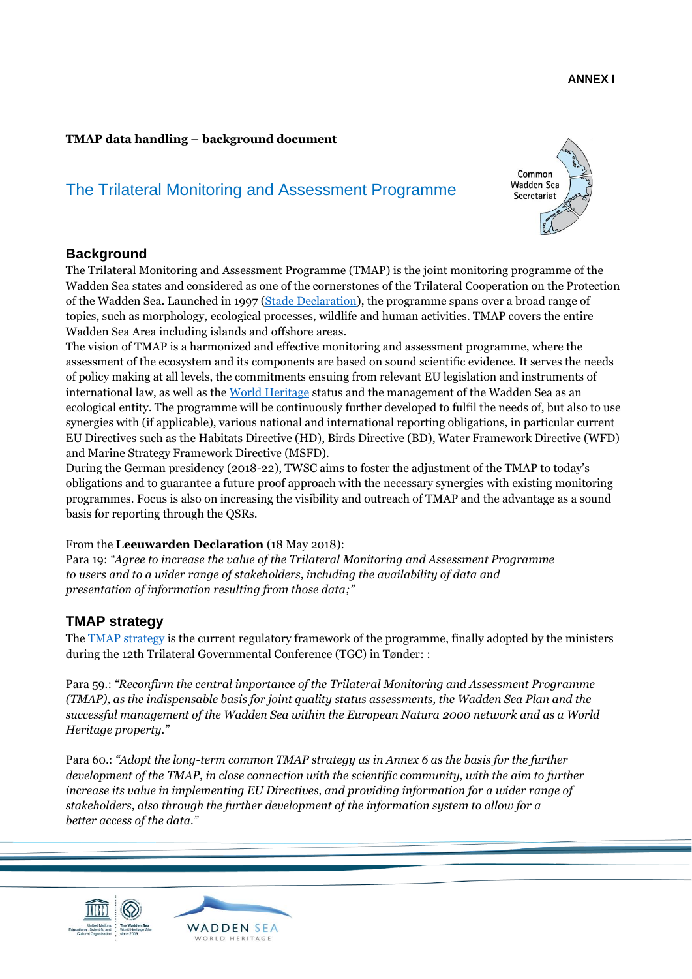#### **ANNEX I**

#### **TMAP data handling – background document**

# The Trilateral Monitoring and Assessment Programme



# **Background**

The Trilateral Monitoring and Assessment Programme (TMAP) is the joint monitoring programme of the Wadden Sea states and considered as one of the cornerstones of the Trilateral Cooperation on the Protection of the Wadden Sea. Launched in 1997 [\(Stade Declaration\)](https://www.waddensea-worldheritage.org/resources/1997-stade-declaration), the programme spans over a broad range of topics, such as morphology, ecological processes, wildlife and human activities. TMAP covers the entire Wadden Sea Area including islands and offshore areas.

The vision of TMAP is a harmonized and effective monitoring and assessment programme, where the assessment of the ecosystem and its components are based on sound scientific evidence. It serves the needs of policy making at all levels, the commitments ensuing from relevant EU legislation and instruments of international law, as well as th[e World Heritage](https://www.waddensea-worldheritage.org/one-wadden-sea-one-global-heritage) status and the management of the Wadden Sea as an ecological entity. The programme will be continuously further developed to fulfil the needs of, but also to use synergies with (if applicable), various national and international reporting obligations, in particular current EU Directives such as the Habitats Directive (HD), Birds Directive (BD), Water Framework Directive (WFD) and Marine Strategy Framework Directive (MSFD).

During the German presidency (2018-22), TWSC aims to foster the adjustment of the TMAP to today's obligations and to guarantee a future proof approach with the necessary synergies with existing monitoring programmes. Focus is also on increasing the visibility and outreach of TMAP and the advantage as a sound basis for reporting through the QSRs.

#### From the **Leeuwarden Declaration** (18 May 2018):

Para 19: *"Agree to increase the value of the Trilateral Monitoring and Assessment Programme to users and to a wider range of stakeholders, including the availability of data and presentation of information resulting from those data;"*

# **TMAP strategy**

The **TMAP** strategy is the current regulatory framework of the programme, finally adopted by the ministers during the 12th Trilateral Governmental Conference (TGC) in Tønder: :

Para 59.: *"Reconfirm the central importance of the Trilateral Monitoring and Assessment Programme (TMAP), as the indispensable basis for joint quality status assessments, the Wadden Sea Plan and the successful management of the Wadden Sea within the European Natura 2000 network and as a World Heritage property."*

Para 60.: *"Adopt the long-term common TMAP strategy as in Annex 6 as the basis for the further development of the TMAP, in close connection with the scientific community, with the aim to further increase its value in implementing EU Directives, and providing information for a wider range of stakeholders, also through the further development of the information system to allow for a better access of the data."*